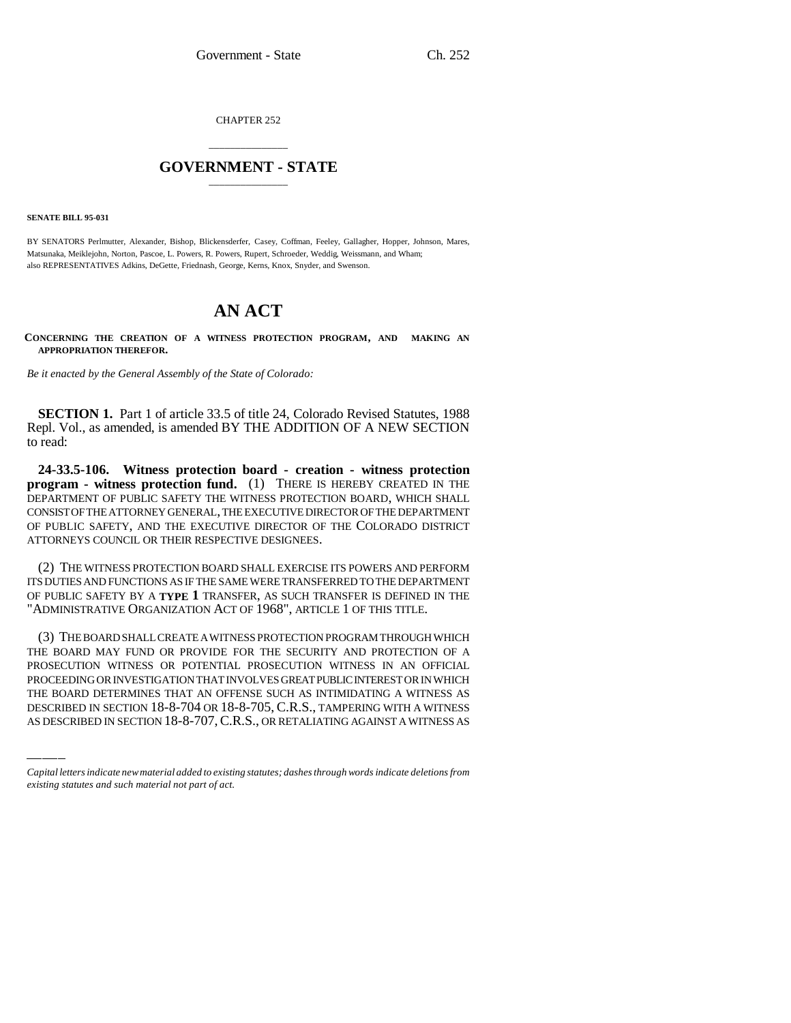CHAPTER 252

## \_\_\_\_\_\_\_\_\_\_\_\_\_\_\_ **GOVERNMENT - STATE** \_\_\_\_\_\_\_\_\_\_\_\_\_\_\_

**SENATE BILL 95-031**

BY SENATORS Perlmutter, Alexander, Bishop, Blickensderfer, Casey, Coffman, Feeley, Gallagher, Hopper, Johnson, Mares, Matsunaka, Meiklejohn, Norton, Pascoe, L. Powers, R. Powers, Rupert, Schroeder, Weddig, Weissmann, and Wham; also REPRESENTATIVES Adkins, DeGette, Friednash, George, Kerns, Knox, Snyder, and Swenson.

## **AN ACT**

**CONCERNING THE CREATION OF A WITNESS PROTECTION PROGRAM, AND MAKING AN APPROPRIATION THEREFOR.**

*Be it enacted by the General Assembly of the State of Colorado:*

**SECTION 1.** Part 1 of article 33.5 of title 24, Colorado Revised Statutes, 1988 Repl. Vol., as amended, is amended BY THE ADDITION OF A NEW SECTION to read:

**24-33.5-106. Witness protection board - creation - witness protection program - witness protection fund.** (1) THERE IS HEREBY CREATED IN THE DEPARTMENT OF PUBLIC SAFETY THE WITNESS PROTECTION BOARD, WHICH SHALL CONSIST OF THE ATTORNEY GENERAL, THE EXECUTIVE DIRECTOR OF THE DEPARTMENT OF PUBLIC SAFETY, AND THE EXECUTIVE DIRECTOR OF THE COLORADO DISTRICT ATTORNEYS COUNCIL OR THEIR RESPECTIVE DESIGNEES.

(2) THE WITNESS PROTECTION BOARD SHALL EXERCISE ITS POWERS AND PERFORM ITS DUTIES AND FUNCTIONS AS IF THE SAME WERE TRANSFERRED TO THE DEPARTMENT OF PUBLIC SAFETY BY A **TYPE 1** TRANSFER, AS SUCH TRANSFER IS DEFINED IN THE "ADMINISTRATIVE ORGANIZATION ACT OF 1968", ARTICLE 1 OF THIS TITLE.

PROSECUTION WITNESS OR POTENTIAL PROSECUTION WITNESS IN AN OFFICIAL (3) THE BOARD SHALL CREATE A WITNESS PROTECTION PROGRAM THROUGH WHICH THE BOARD MAY FUND OR PROVIDE FOR THE SECURITY AND PROTECTION OF A PROCEEDING OR INVESTIGATION THAT INVOLVES GREAT PUBLIC INTEREST OR IN WHICH THE BOARD DETERMINES THAT AN OFFENSE SUCH AS INTIMIDATING A WITNESS AS DESCRIBED IN SECTION 18-8-704 OR 18-8-705, C.R.S., TAMPERING WITH A WITNESS AS DESCRIBED IN SECTION 18-8-707,C.R.S., OR RETALIATING AGAINST A WITNESS AS

*Capital letters indicate new material added to existing statutes; dashes through words indicate deletions from existing statutes and such material not part of act.*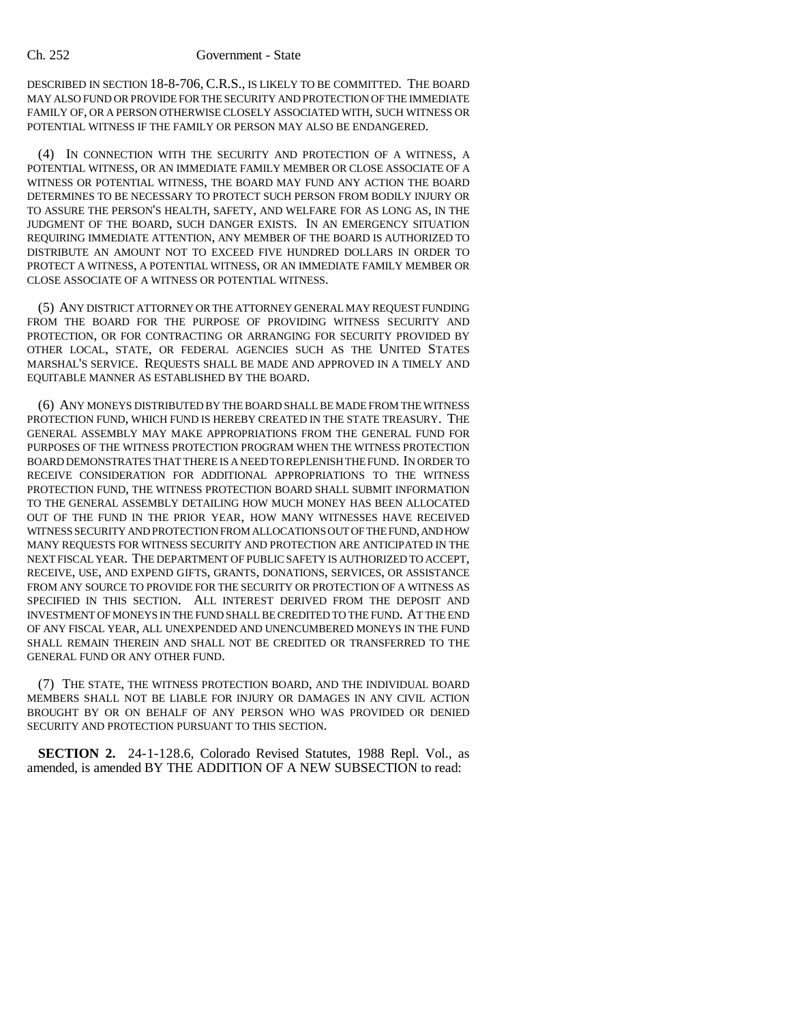## Ch. 252 Government - State

DESCRIBED IN SECTION 18-8-706, C.R.S., IS LIKELY TO BE COMMITTED. THE BOARD MAY ALSO FUND OR PROVIDE FOR THE SECURITY AND PROTECTION OF THE IMMEDIATE FAMILY OF, OR A PERSON OTHERWISE CLOSELY ASSOCIATED WITH, SUCH WITNESS OR POTENTIAL WITNESS IF THE FAMILY OR PERSON MAY ALSO BE ENDANGERED.

(4) IN CONNECTION WITH THE SECURITY AND PROTECTION OF A WITNESS, A POTENTIAL WITNESS, OR AN IMMEDIATE FAMILY MEMBER OR CLOSE ASSOCIATE OF A WITNESS OR POTENTIAL WITNESS, THE BOARD MAY FUND ANY ACTION THE BOARD DETERMINES TO BE NECESSARY TO PROTECT SUCH PERSON FROM BODILY INJURY OR TO ASSURE THE PERSON'S HEALTH, SAFETY, AND WELFARE FOR AS LONG AS, IN THE JUDGMENT OF THE BOARD, SUCH DANGER EXISTS. IN AN EMERGENCY SITUATION REQUIRING IMMEDIATE ATTENTION, ANY MEMBER OF THE BOARD IS AUTHORIZED TO DISTRIBUTE AN AMOUNT NOT TO EXCEED FIVE HUNDRED DOLLARS IN ORDER TO PROTECT A WITNESS, A POTENTIAL WITNESS, OR AN IMMEDIATE FAMILY MEMBER OR CLOSE ASSOCIATE OF A WITNESS OR POTENTIAL WITNESS.

(5) ANY DISTRICT ATTORNEY OR THE ATTORNEY GENERAL MAY REQUEST FUNDING FROM THE BOARD FOR THE PURPOSE OF PROVIDING WITNESS SECURITY AND PROTECTION, OR FOR CONTRACTING OR ARRANGING FOR SECURITY PROVIDED BY OTHER LOCAL, STATE, OR FEDERAL AGENCIES SUCH AS THE UNITED STATES MARSHAL'S SERVICE. REQUESTS SHALL BE MADE AND APPROVED IN A TIMELY AND EQUITABLE MANNER AS ESTABLISHED BY THE BOARD.

(6) ANY MONEYS DISTRIBUTED BY THE BOARD SHALL BE MADE FROM THE WITNESS PROTECTION FUND, WHICH FUND IS HEREBY CREATED IN THE STATE TREASURY. THE GENERAL ASSEMBLY MAY MAKE APPROPRIATIONS FROM THE GENERAL FUND FOR PURPOSES OF THE WITNESS PROTECTION PROGRAM WHEN THE WITNESS PROTECTION BOARD DEMONSTRATES THAT THERE IS A NEED TO REPLENISH THE FUND. IN ORDER TO RECEIVE CONSIDERATION FOR ADDITIONAL APPROPRIATIONS TO THE WITNESS PROTECTION FUND, THE WITNESS PROTECTION BOARD SHALL SUBMIT INFORMATION TO THE GENERAL ASSEMBLY DETAILING HOW MUCH MONEY HAS BEEN ALLOCATED OUT OF THE FUND IN THE PRIOR YEAR, HOW MANY WITNESSES HAVE RECEIVED WITNESS SECURITY AND PROTECTION FROM ALLOCATIONS OUT OF THE FUND, AND HOW MANY REQUESTS FOR WITNESS SECURITY AND PROTECTION ARE ANTICIPATED IN THE NEXT FISCAL YEAR. THE DEPARTMENT OF PUBLIC SAFETY IS AUTHORIZED TO ACCEPT, RECEIVE, USE, AND EXPEND GIFTS, GRANTS, DONATIONS, SERVICES, OR ASSISTANCE FROM ANY SOURCE TO PROVIDE FOR THE SECURITY OR PROTECTION OF A WITNESS AS SPECIFIED IN THIS SECTION. ALL INTEREST DERIVED FROM THE DEPOSIT AND INVESTMENT OF MONEYS IN THE FUND SHALL BE CREDITED TO THE FUND. AT THE END OF ANY FISCAL YEAR, ALL UNEXPENDED AND UNENCUMBERED MONEYS IN THE FUND SHALL REMAIN THEREIN AND SHALL NOT BE CREDITED OR TRANSFERRED TO THE GENERAL FUND OR ANY OTHER FUND.

(7) THE STATE, THE WITNESS PROTECTION BOARD, AND THE INDIVIDUAL BOARD MEMBERS SHALL NOT BE LIABLE FOR INJURY OR DAMAGES IN ANY CIVIL ACTION BROUGHT BY OR ON BEHALF OF ANY PERSON WHO WAS PROVIDED OR DENIED SECURITY AND PROTECTION PURSUANT TO THIS SECTION.

**SECTION 2.** 24-1-128.6, Colorado Revised Statutes, 1988 Repl. Vol., as amended, is amended BY THE ADDITION OF A NEW SUBSECTION to read: